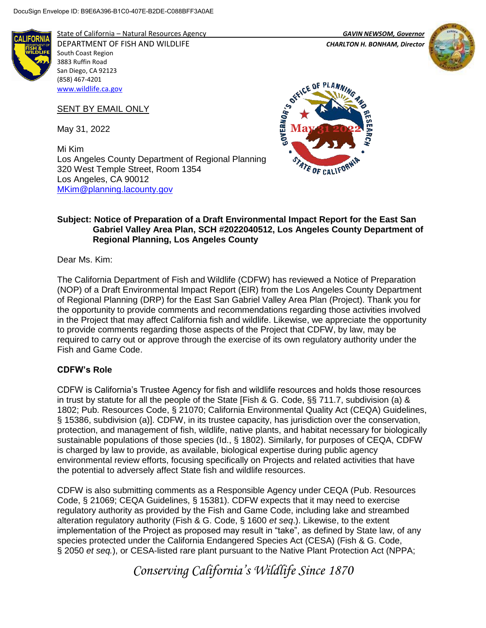

State of California – Natural Resources Agency *GAVIN NEWSOM, Governor* DEPARTMENT OF FISH AND WILDLIFE *CHARLTON H. BONHAM, Director*  South Coast Region 3883 Ruffin Road San Diego, CA 92123 (858) 467-4201 [www.wildlife.ca.gov](http://www.wildlife.ca.gov/)

SENT BY EMAIL ONLY

May 31, 2022

Mi Kim Los Angeles County Department of Regional Planning 320 West Temple Street, Room 1354 Los Angeles, CA 90012 [MKim@planning.lacounty.gov](mailto:MKim@planning.lacounty.gov)





## **Subject: Notice of Preparation of a Draft Environmental Impact Report for the East San Gabriel Valley Area Plan, SCH #2022040512, Los Angeles County Department of Regional Planning, Los Angeles County**

Dear Ms. Kim:

The California Department of Fish and Wildlife (CDFW) has reviewed a Notice of Preparation (NOP) of a Draft Environmental Impact Report (EIR) from the Los Angeles County Department of Regional Planning (DRP) for the East San Gabriel Valley Area Plan (Project). Thank you for the opportunity to provide comments and recommendations regarding those activities involved in the Project that may affect California fish and wildlife. Likewise, we appreciate the opportunity to provide comments regarding those aspects of the Project that CDFW, by law, may be required to carry out or approve through the exercise of its own regulatory authority under the Fish and Game Code.

# **CDFW's Role**

CDFW is California's Trustee Agency for fish and wildlife resources and holds those resources in trust by statute for all the people of the State [Fish & G. Code, §§ 711.7, subdivision (a) & 1802; Pub. Resources Code, § 21070; California Environmental Quality Act (CEQA) Guidelines, § 15386, subdivision (a)]. CDFW, in its trustee capacity, has jurisdiction over the conservation, protection, and management of fish, wildlife, native plants, and habitat necessary for biologically sustainable populations of those species (Id., § 1802). Similarly, for purposes of CEQA, CDFW is charged by law to provide, as available, biological expertise during public agency environmental review efforts, focusing specifically on Projects and related activities that have the potential to adversely affect State fish and wildlife resources.

CDFW is also submitting comments as a Responsible Agency under CEQA (Pub. Resources Code, § 21069; CEQA Guidelines, § 15381). CDFW expects that it may need to exercise regulatory authority as provided by the Fish and Game Code, including lake and streambed alteration regulatory authority (Fish & G. Code, § 1600 *et seq*.). Likewise, to the extent implementation of the Project as proposed may result in "take", as defined by State law, of any species protected under the California Endangered Species Act (CESA) (Fish & G. Code, § 2050 *et seq.*), or CESA-listed rare plant pursuant to the Native Plant Protection Act (NPPA;

*Conserving California's Wildlife Since 1870*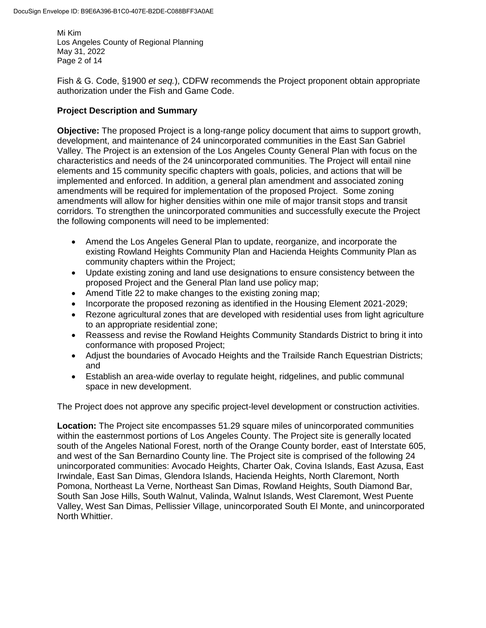Mi Kim Los Angeles County of Regional Planning May 31, 2022 Page 2 of 14

Fish & G. Code, §1900 *et seq.*), CDFW recommends the Project proponent obtain appropriate authorization under the Fish and Game Code.

### **Project Description and Summary**

**Objective:** The proposed Project is a long-range policy document that aims to support growth, development, and maintenance of 24 unincorporated communities in the East San Gabriel Valley. The Project is an extension of the Los Angeles County General Plan with focus on the characteristics and needs of the 24 unincorporated communities. The Project will entail nine elements and 15 community specific chapters with goals, policies, and actions that will be implemented and enforced. In addition, a general plan amendment and associated zoning amendments will be required for implementation of the proposed Project. Some zoning amendments will allow for higher densities within one mile of major transit stops and transit corridors. To strengthen the unincorporated communities and successfully execute the Project the following components will need to be implemented:

- Amend the Los Angeles General Plan to update, reorganize, and incorporate the existing Rowland Heights Community Plan and Hacienda Heights Community Plan as community chapters within the Project;
- Update existing zoning and land use designations to ensure consistency between the proposed Project and the General Plan land use policy map;
- Amend Title 22 to make changes to the existing zoning map;
- Incorporate the proposed rezoning as identified in the Housing Element 2021-2029;
- Rezone agricultural zones that are developed with residential uses from light agriculture to an appropriate residential zone;
- Reassess and revise the Rowland Heights Community Standards District to bring it into conformance with proposed Project;
- Adjust the boundaries of Avocado Heights and the Trailside Ranch Equestrian Districts; and
- Establish an area-wide overlay to regulate height, ridgelines, and public communal space in new development.

The Project does not approve any specific project-level development or construction activities.

**Location:** The Project site encompasses 51.29 square miles of unincorporated communities within the easternmost portions of Los Angeles County. The Project site is generally located south of the Angeles National Forest, north of the Orange County border, east of Interstate 605, and west of the San Bernardino County line. The Project site is comprised of the following 24 unincorporated communities: Avocado Heights, Charter Oak, Covina Islands, East Azusa, East Irwindale, East San Dimas, Glendora Islands, Hacienda Heights, North Claremont, North Pomona, Northeast La Verne, Northeast San Dimas, Rowland Heights, South Diamond Bar, South San Jose Hills, South Walnut, Valinda, Walnut Islands, West Claremont, West Puente Valley, West San Dimas, Pellissier Village, unincorporated South El Monte, and unincorporated North Whittier.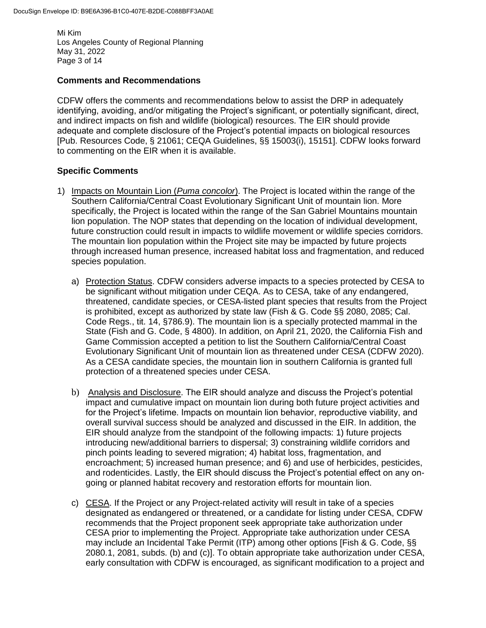Mi Kim Los Angeles County of Regional Planning May 31, 2022 Page 3 of 14

#### **Comments and Recommendations**

CDFW offers the comments and recommendations below to assist the DRP in adequately identifying, avoiding, and/or mitigating the Project's significant, or potentially significant, direct, and indirect impacts on fish and wildlife (biological) resources. The EIR should provide adequate and complete disclosure of the Project's potential impacts on biological resources [Pub. Resources Code, § 21061; CEQA Guidelines, §§ 15003(i), 15151]. CDFW looks forward to commenting on the EIR when it is available.

### **Specific Comments**

- 1) Impacts on Mountain Lion (*Puma concolor*). The Project is located within the range of the Southern California/Central Coast Evolutionary Significant Unit of mountain lion. More specifically, the Project is located within the range of the San Gabriel Mountains mountain lion population. The NOP states that depending on the location of individual development, future construction could result in impacts to wildlife movement or wildlife species corridors. The mountain lion population within the Project site may be impacted by future projects through increased human presence, increased habitat loss and fragmentation, and reduced species population.
	- a) Protection Status. CDFW considers adverse impacts to a species protected by CESA to be significant without mitigation under CEQA. As to CESA, take of any endangered, threatened, candidate species, or CESA-listed plant species that results from the Project is prohibited, except as authorized by state law (Fish & G. Code §§ 2080, 2085; Cal. Code Regs., tit. 14, §786.9). The mountain lion is a specially protected mammal in the State (Fish and G. Code, § 4800). In addition, on April 21, 2020, the California Fish and Game Commission accepted a petition to list the Southern California/Central Coast Evolutionary Significant Unit of mountain lion as threatened under CESA (CDFW 2020). As a CESA candidate species, the mountain lion in southern California is granted full protection of a threatened species under CESA.
	- b) Analysis and Disclosure. The EIR should analyze and discuss the Project's potential impact and cumulative impact on mountain lion during both future project activities and for the Project's lifetime. Impacts on mountain lion behavior, reproductive viability, and overall survival success should be analyzed and discussed in the EIR. In addition, the EIR should analyze from the standpoint of the following impacts: 1) future projects introducing new/additional barriers to dispersal; 3) constraining wildlife corridors and pinch points leading to severed migration; 4) habitat loss, fragmentation, and encroachment; 5) increased human presence; and 6) and use of herbicides, pesticides, and rodenticides. Lastly, the EIR should discuss the Project's potential effect on any ongoing or planned habitat recovery and restoration efforts for mountain lion.
	- c) CESA. If the Project or any Project-related activity will result in take of a species designated as endangered or threatened, or a candidate for listing under CESA, CDFW recommends that the Project proponent seek appropriate take authorization under CESA prior to implementing the Project. Appropriate take authorization under CESA may include an Incidental Take Permit (ITP) among other options [Fish & G. Code, §§ 2080.1, 2081, subds. (b) and (c)]. To obtain appropriate take authorization under CESA, early consultation with CDFW is encouraged, as significant modification to a project and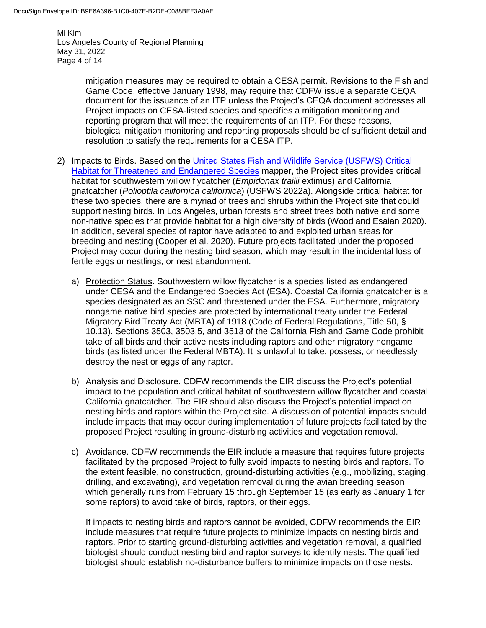Mi Kim Los Angeles County of Regional Planning May 31, 2022 Page 4 of 14

> mitigation measures may be required to obtain a CESA permit. Revisions to the Fish and Game Code, effective January 1998, may require that CDFW issue a separate CEQA document for the issuance of an ITP unless the Project's CEQA document addresses all Project impacts on CESA-listed species and specifies a mitigation monitoring and reporting program that will meet the requirements of an ITP. For these reasons, biological mitigation monitoring and reporting proposals should be of sufficient detail and resolution to satisfy the requirements for a CESA ITP.

- 2) Impacts to Birds. Based on the [United States Fish and Wildlife Service \(USFWS\) Critical](https://fws.maps.arcgis.com/home/webmap/viewer.html?webmap=9d8de5e265ad4fe09893cf75b8dbfb77)  [Habitat for Threatened and Endangered Species](https://fws.maps.arcgis.com/home/webmap/viewer.html?webmap=9d8de5e265ad4fe09893cf75b8dbfb77) mapper, the Project sites provides critical habitat for southwestern willow flycatcher (*Empidonax trailii* extimus) and California gnatcatcher (*Polioptila californica californica*) (USFWS 2022a). Alongside critical habitat for these two species, there are a myriad of trees and shrubs within the Project site that could support nesting birds. In Los Angeles, urban forests and street trees both native and some non-native species that provide habitat for a high diversity of birds (Wood and Esaian 2020). In addition, several species of raptor have adapted to and exploited urban areas for breeding and nesting (Cooper et al. 2020). Future projects facilitated under the proposed Project may occur during the nesting bird season, which may result in the incidental loss of fertile eggs or nestlings, or nest abandonment.
	- a) Protection Status. Southwestern willow flycatcher is a species listed as endangered under CESA and the Endangered Species Act (ESA). Coastal California gnatcatcher is a species designated as an SSC and threatened under the ESA. Furthermore, migratory nongame native bird species are protected by international treaty under the Federal Migratory Bird Treaty Act (MBTA) of 1918 (Code of Federal Regulations, Title 50, § 10.13). Sections 3503, 3503.5, and 3513 of the California Fish and Game Code prohibit take of all birds and their active nests including raptors and other migratory nongame birds (as listed under the Federal MBTA). It is unlawful to take, possess, or needlessly destroy the nest or eggs of any raptor.
	- b) Analysis and Disclosure. CDFW recommends the EIR discuss the Project's potential impact to the population and critical habitat of southwestern willow flycatcher and coastal California gnatcatcher. The EIR should also discuss the Project's potential impact on nesting birds and raptors within the Project site. A discussion of potential impacts should include impacts that may occur during implementation of future projects facilitated by the proposed Project resulting in ground-disturbing activities and vegetation removal.
	- c) Avoidance. CDFW recommends the EIR include a measure that requires future projects facilitated by the proposed Project to fully avoid impacts to nesting birds and raptors. To the extent feasible, no construction, ground-disturbing activities (e.g., mobilizing, staging, drilling, and excavating), and vegetation removal during the avian breeding season which generally runs from February 15 through September 15 (as early as January 1 for some raptors) to avoid take of birds, raptors, or their eggs.

If impacts to nesting birds and raptors cannot be avoided, CDFW recommends the EIR include measures that require future projects to minimize impacts on nesting birds and raptors. Prior to starting ground-disturbing activities and vegetation removal, a qualified biologist should conduct nesting bird and raptor surveys to identify nests. The qualified biologist should establish no-disturbance buffers to minimize impacts on those nests.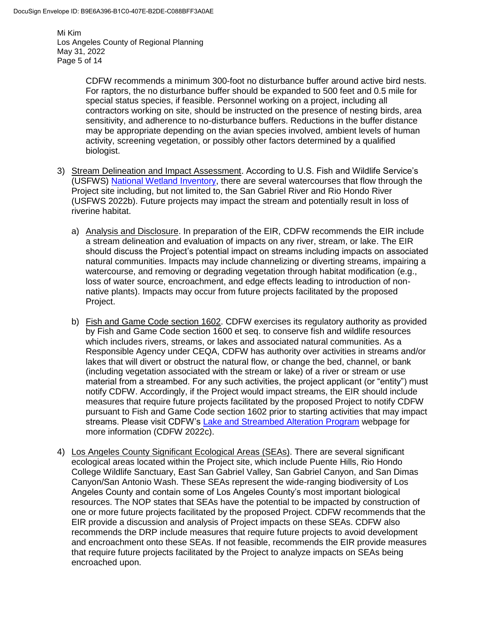Mi Kim Los Angeles County of Regional Planning May 31, 2022 Page 5 of 14

> CDFW recommends a minimum 300-foot no disturbance buffer around active bird nests. For raptors, the no disturbance buffer should be expanded to 500 feet and 0.5 mile for special status species, if feasible. Personnel working on a project, including all contractors working on site, should be instructed on the presence of nesting birds, area sensitivity, and adherence to no-disturbance buffers. Reductions in the buffer distance may be appropriate depending on the avian species involved, ambient levels of human activity, screening vegetation, or possibly other factors determined by a qualified biologist.

- 3) Stream Delineation and Impact Assessment. According to U.S. Fish and Wildlife Service's (USFWS) [National Wetland Inventory,](https://www.fws.gov/program/national-wetlands-inventory/wetlands-mapper) there are several watercourses that flow through the Project site including, but not limited to, the San Gabriel River and Rio Hondo River (USFWS 2022b). Future projects may impact the stream and potentially result in loss of riverine habitat.
	- a) Analysis and Disclosure. In preparation of the EIR, CDFW recommends the EIR include a stream delineation and evaluation of impacts on any river, stream, or lake. The EIR should discuss the Project's potential impact on streams including impacts on associated natural communities. Impacts may include channelizing or diverting streams, impairing a watercourse, and removing or degrading vegetation through habitat modification (e.g., loss of water source, encroachment, and edge effects leading to introduction of nonnative plants). Impacts may occur from future projects facilitated by the proposed Project.
	- b) Fish and Game Code section 1602. CDFW exercises its regulatory authority as provided by Fish and Game Code section 1600 et seq. to conserve fish and wildlife resources which includes rivers, streams, or lakes and associated natural communities. As a Responsible Agency under CEQA, CDFW has authority over activities in streams and/or lakes that will divert or obstruct the natural flow, or change the bed, channel, or bank (including vegetation associated with the stream or lake) of a river or stream or use material from a streambed. For any such activities, the project applicant (or "entity") must notify CDFW. Accordingly, if the Project would impact streams, the EIR should include measures that require future projects facilitated by the proposed Project to notify CDFW pursuant to Fish and Game Code section 1602 prior to starting activities that may impact streams. Please visit CDFW's [Lake and Streambed Alteration Program](https://wildlife.ca.gov/Conservation/Environmental-Review/LSA) webpage for more information (CDFW 2022c).
- 4) Los Angeles County Significant Ecological Areas (SEAs). There are several significant ecological areas located within the Project site, which include Puente Hills, Rio Hondo College Wildlife Sanctuary, East San Gabriel Valley, San Gabriel Canyon, and San Dimas Canyon/San Antonio Wash. These SEAs represent the wide-ranging biodiversity of Los Angeles County and contain some of Los Angeles County's most important biological resources. The NOP states that SEAs have the potential to be impacted by construction of one or more future projects facilitated by the proposed Project. CDFW recommends that the EIR provide a discussion and analysis of Project impacts on these SEAs. CDFW also recommends the DRP include measures that require future projects to avoid development and encroachment onto these SEAs. If not feasible, recommends the EIR provide measures that require future projects facilitated by the Project to analyze impacts on SEAs being encroached upon.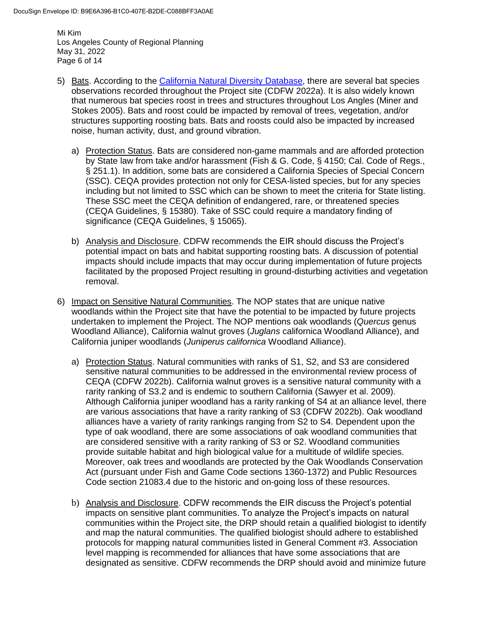Mi Kim Los Angeles County of Regional Planning May 31, 2022 Page 6 of 14

- 5) Bats. According to the [California Natural Diversity Database,](https://wildlife.ca.gov/Data/CNDDB) there are several bat species observations recorded throughout the Project site (CDFW 2022a). It is also widely known that numerous bat species roost in trees and structures throughout Los Angles (Miner and Stokes 2005). Bats and roost could be impacted by removal of trees, vegetation, and/or structures supporting roosting bats. Bats and roosts could also be impacted by increased noise, human activity, dust, and ground vibration.
	- a) Protection Status. Bats are considered non-game mammals and are afforded protection by State law from take and/or harassment (Fish & G. Code, § 4150; Cal. Code of Regs., § 251.1). In addition, some bats are considered a California Species of Special Concern (SSC). CEQA provides protection not only for CESA-listed species, but for any species including but not limited to SSC which can be shown to meet the criteria for State listing. These SSC meet the CEQA definition of endangered, rare, or threatened species (CEQA Guidelines, § 15380). Take of SSC could require a mandatory finding of significance (CEQA Guidelines, § 15065).
	- b) Analysis and Disclosure. CDFW recommends the EIR should discuss the Project's potential impact on bats and habitat supporting roosting bats. A discussion of potential impacts should include impacts that may occur during implementation of future projects facilitated by the proposed Project resulting in ground-disturbing activities and vegetation removal.
- 6) Impact on Sensitive Natural Communities. The NOP states that are unique native woodlands within the Project site that have the potential to be impacted by future projects undertaken to implement the Project. The NOP mentions oak woodlands (*Quercus* genus Woodland Alliance), California walnut groves (*Juglans* californica Woodland Alliance), and California juniper woodlands (*Juniperus californica* Woodland Alliance).
	- a) Protection Status. Natural communities with ranks of S1, S2, and S3 are considered sensitive natural communities to be addressed in the environmental review process of CEQA (CDFW 2022b). California walnut groves is a sensitive natural community with a rarity ranking of S3.2 and is endemic to southern California (Sawyer et al. 2009). Although California juniper woodland has a rarity ranking of S4 at an alliance level, there are various associations that have a rarity ranking of S3 (CDFW 2022b). Oak woodland alliances have a variety of rarity rankings ranging from S2 to S4. Dependent upon the type of oak woodland, there are some associations of oak woodland communities that are considered sensitive with a rarity ranking of S3 or S2. Woodland communities provide suitable habitat and high biological value for a multitude of wildlife species. Moreover, oak trees and woodlands are protected by the Oak Woodlands Conservation Act (pursuant under Fish and Game Code sections 1360-1372) and Public Resources Code section 21083.4 due to the historic and on-going loss of these resources.
	- b) Analysis and Disclosure. CDFW recommends the EIR discuss the Project's potential impacts on sensitive plant communities. To analyze the Project's impacts on natural communities within the Project site, the DRP should retain a qualified biologist to identify and map the natural communities. The qualified biologist should adhere to established protocols for mapping natural communities listed in General Comment #3. Association level mapping is recommended for alliances that have some associations that are designated as sensitive. CDFW recommends the DRP should avoid and minimize future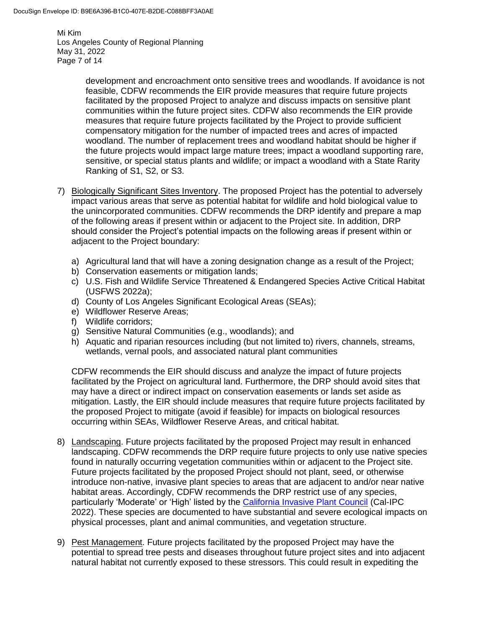Mi Kim Los Angeles County of Regional Planning May 31, 2022 Page 7 of 14

> development and encroachment onto sensitive trees and woodlands. If avoidance is not feasible, CDFW recommends the EIR provide measures that require future projects facilitated by the proposed Project to analyze and discuss impacts on sensitive plant communities within the future project sites. CDFW also recommends the EIR provide measures that require future projects facilitated by the Project to provide sufficient compensatory mitigation for the number of impacted trees and acres of impacted woodland. The number of replacement trees and woodland habitat should be higher if the future projects would impact large mature trees; impact a woodland supporting rare, sensitive, or special status plants and wildlife; or impact a woodland with a State Rarity Ranking of S1, S2, or S3.

- 7) Biologically Significant Sites Inventory. The proposed Project has the potential to adversely impact various areas that serve as potential habitat for wildlife and hold biological value to the unincorporated communities. CDFW recommends the DRP identify and prepare a map of the following areas if present within or adjacent to the Project site. In addition, DRP should consider the Project's potential impacts on the following areas if present within or adjacent to the Project boundary:
	- a) Agricultural land that will have a zoning designation change as a result of the Project;
	- b) Conservation easements or mitigation lands;
	- c) U.S. Fish and Wildlife Service Threatened & Endangered Species Active Critical Habitat (USFWS 2022a);
	- d) County of Los Angeles Significant Ecological Areas (SEAs);
	- e) Wildflower Reserve Areas;
	- f) Wildlife corridors;
	- g) Sensitive Natural Communities (e.g., woodlands); and
	- h) Aquatic and riparian resources including (but not limited to) rivers, channels, streams, wetlands, vernal pools, and associated natural plant communities

CDFW recommends the EIR should discuss and analyze the impact of future projects facilitated by the Project on agricultural land. Furthermore, the DRP should avoid sites that may have a direct or indirect impact on conservation easements or lands set aside as mitigation. Lastly, the EIR should include measures that require future projects facilitated by the proposed Project to mitigate (avoid if feasible) for impacts on biological resources occurring within SEAs, Wildflower Reserve Areas, and critical habitat.

- 8) Landscaping. Future projects facilitated by the proposed Project may result in enhanced landscaping. CDFW recommends the DRP require future projects to only use native species found in naturally occurring vegetation communities within or adjacent to the Project site. Future projects facilitated by the proposed Project should not plant, seed, or otherwise introduce non-native, invasive plant species to areas that are adjacent to and/or near native habitat areas. Accordingly, CDFW recommends the DRP restrict use of any species, particularly 'Moderate' or 'High' listed by the [California Invasive Plant Council](https://www.cal-ipc.org/plants/inventory/) (Cal-IPC 2022). These species are documented to have substantial and severe ecological impacts on physical processes, plant and animal communities, and vegetation structure.
- 9) Pest Management. Future projects facilitated by the proposed Project may have the potential to spread tree pests and diseases throughout future project sites and into adjacent natural habitat not currently exposed to these stressors. This could result in expediting the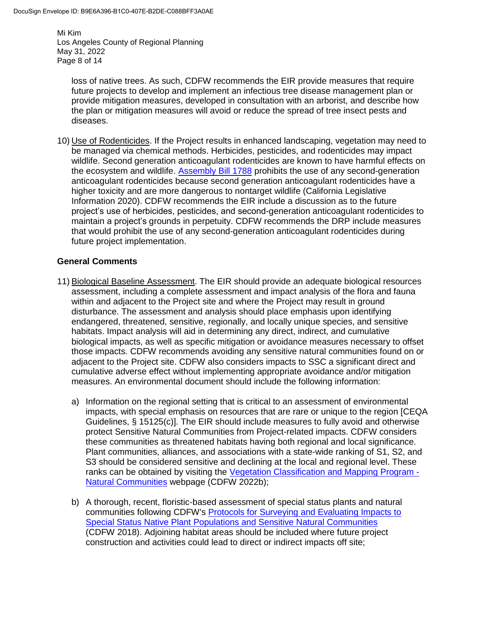Mi Kim Los Angeles County of Regional Planning May 31, 2022 Page 8 of 14

loss of native trees. As such, CDFW recommends the EIR provide measures that require future projects to develop and implement an infectious tree disease management plan or provide mitigation measures, developed in consultation with an arborist, and describe how the plan or mitigation measures will avoid or reduce the spread of tree insect pests and diseases.

10) Use of Rodenticides. If the Project results in enhanced landscaping, vegetation may need to be managed via chemical methods. Herbicides, pesticides, and rodenticides may impact wildlife. Second generation anticoagulant rodenticides are known to have harmful effects on the ecosystem and wildlife. [Assembly Bill 1788](https://leginfo.legislature.ca.gov/faces/billTextClient.xhtml?bill_id=201920200AB1788) prohibits the use of any second-generation anticoagulant rodenticides because second generation anticoagulant rodenticides have a higher toxicity and are more dangerous to nontarget wildlife (California Legislative Information 2020). CDFW recommends the EIR include a discussion as to the future project's use of herbicides, pesticides, and second-generation anticoagulant rodenticides to maintain a project's grounds in perpetuity. CDFW recommends the DRP include measures that would prohibit the use of any second-generation anticoagulant rodenticides during future project implementation.

### **General Comments**

- 11) Biological Baseline Assessment. The EIR should provide an adequate biological resources assessment, including a complete assessment and impact analysis of the flora and fauna within and adjacent to the Project site and where the Project may result in ground disturbance. The assessment and analysis should place emphasis upon identifying endangered, threatened, sensitive, regionally, and locally unique species, and sensitive habitats. Impact analysis will aid in determining any direct, indirect, and cumulative biological impacts, as well as specific mitigation or avoidance measures necessary to offset those impacts. CDFW recommends avoiding any sensitive natural communities found on or adjacent to the Project site. CDFW also considers impacts to SSC a significant direct and cumulative adverse effect without implementing appropriate avoidance and/or mitigation measures. An environmental document should include the following information:
	- a) Information on the regional setting that is critical to an assessment of environmental impacts, with special emphasis on resources that are rare or unique to the region [CEQA Guidelines, § 15125(c)]. The EIR should include measures to fully avoid and otherwise protect Sensitive Natural Communities from Project-related impacts. CDFW considers these communities as threatened habitats having both regional and local significance. Plant communities, alliances, and associations with a state-wide ranking of S1, S2, and S3 should be considered sensitive and declining at the local and regional level. These ranks can be obtained by visiting the [Vegetation Classification and Mapping Program -](https://wildlife.ca.gov/Data/VegCAMP/Natural-Communities) [Natural Communities](https://wildlife.ca.gov/Data/VegCAMP/Natural-Communities) webpage (CDFW 2022b);
	- b) A thorough, recent, floristic-based assessment of special status plants and natural communities following CDFW's [Protocols for Surveying and Evaluating Impacts to](https://nrm.dfg.ca.gov/FileHandler.ashx?DocumentID=18959&inline)  [Special Status Native Plant Populations and Sensitive Natural Communities](https://nrm.dfg.ca.gov/FileHandler.ashx?DocumentID=18959&inline) (CDFW 2018). Adjoining habitat areas should be included where future project construction and activities could lead to direct or indirect impacts off site;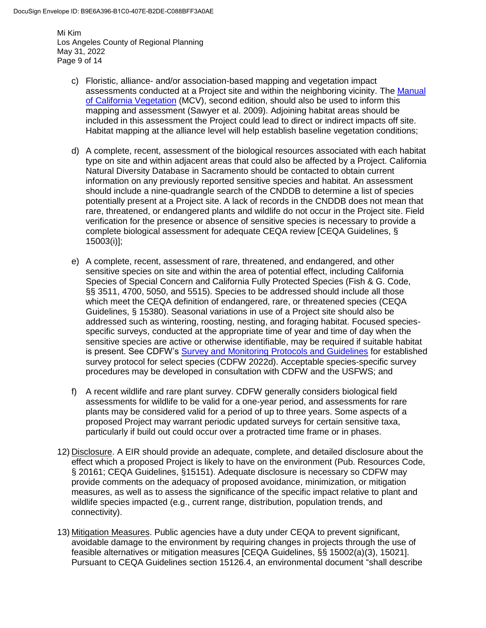Mi Kim Los Angeles County of Regional Planning May 31, 2022 Page 9 of 14

- c) Floristic, alliance- and/or association-based mapping and vegetation impact assessments conducted at a Project site and within the neighboring vicinity. The [Manual](http://vegetation.cnps.org/)  [of California Vegetation](http://vegetation.cnps.org/) (MCV), second edition, should also be used to inform this mapping and assessment (Sawyer et al. 2009). Adjoining habitat areas should be included in this assessment the Project could lead to direct or indirect impacts off site. Habitat mapping at the alliance level will help establish baseline vegetation conditions;
- d) A complete, recent, assessment of the biological resources associated with each habitat type on site and within adjacent areas that could also be affected by a Project. California Natural Diversity Database in Sacramento should be contacted to obtain current information on any previously reported sensitive species and habitat. An assessment should include a nine-quadrangle search of the CNDDB to determine a list of species potentially present at a Project site. A lack of records in the CNDDB does not mean that rare, threatened, or endangered plants and wildlife do not occur in the Project site. Field verification for the presence or absence of sensitive species is necessary to provide a complete biological assessment for adequate CEQA review [CEQA Guidelines, § 15003(i)];
- e) A complete, recent, assessment of rare, threatened, and endangered, and other sensitive species on site and within the area of potential effect, including California Species of Special Concern and California Fully Protected Species (Fish & G. Code, §§ 3511, 4700, 5050, and 5515). Species to be addressed should include all those which meet the CEQA definition of endangered, rare, or threatened species (CEQA Guidelines, § 15380). Seasonal variations in use of a Project site should also be addressed such as wintering, roosting, nesting, and foraging habitat. Focused speciesspecific surveys, conducted at the appropriate time of year and time of day when the sensitive species are active or otherwise identifiable, may be required if suitable habitat is present. See CDFW's [Survey and Monitoring Protocols and Guidelines](https://wildlife.ca.gov/conservation/survey-protocols) for established survey protocol for select species (CDFW 2022d). Acceptable species-specific survey procedures may be developed in consultation with CDFW and the USFWS; and
- f) A recent wildlife and rare plant survey. CDFW generally considers biological field assessments for wildlife to be valid for a one-year period, and assessments for rare plants may be considered valid for a period of up to three years. Some aspects of a proposed Project may warrant periodic updated surveys for certain sensitive taxa, particularly if build out could occur over a protracted time frame or in phases.
- 12) Disclosure. A EIR should provide an adequate, complete, and detailed disclosure about the effect which a proposed Project is likely to have on the environment (Pub. Resources Code, § 20161; CEQA Guidelines, §15151). Adequate disclosure is necessary so CDFW may provide comments on the adequacy of proposed avoidance, minimization, or mitigation measures, as well as to assess the significance of the specific impact relative to plant and wildlife species impacted (e.g., current range, distribution, population trends, and connectivity).
- 13) Mitigation Measures. Public agencies have a duty under CEQA to prevent significant, avoidable damage to the environment by requiring changes in projects through the use of feasible alternatives or mitigation measures [CEQA Guidelines, §§ 15002(a)(3), 15021]. Pursuant to CEQA Guidelines section 15126.4, an environmental document "shall describe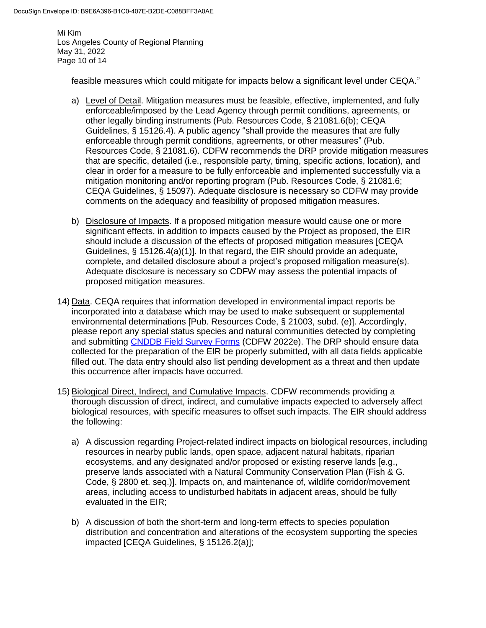Mi Kim Los Angeles County of Regional Planning May 31, 2022 Page 10 of 14

feasible measures which could mitigate for impacts below a significant level under CEQA."

- a) Level of Detail. Mitigation measures must be feasible, effective, implemented, and fully enforceable/imposed by the Lead Agency through permit conditions, agreements, or other legally binding instruments (Pub. Resources Code, § 21081.6(b); CEQA Guidelines, § 15126.4). A public agency "shall provide the measures that are fully enforceable through permit conditions, agreements, or other measures" (Pub. Resources Code, § 21081.6). CDFW recommends the DRP provide mitigation measures that are specific, detailed (i.e., responsible party, timing, specific actions, location), and clear in order for a measure to be fully enforceable and implemented successfully via a mitigation monitoring and/or reporting program (Pub. Resources Code, § 21081.6; CEQA Guidelines, § 15097). Adequate disclosure is necessary so CDFW may provide comments on the adequacy and feasibility of proposed mitigation measures.
- b) Disclosure of Impacts. If a proposed mitigation measure would cause one or more significant effects, in addition to impacts caused by the Project as proposed, the EIR should include a discussion of the effects of proposed mitigation measures [CEQA Guidelines, § 15126.4(a)(1)]. In that regard, the EIR should provide an adequate, complete, and detailed disclosure about a project's proposed mitigation measure(s). Adequate disclosure is necessary so CDFW may assess the potential impacts of proposed mitigation measures.
- 14) Data. CEQA requires that information developed in environmental impact reports be incorporated into a database which may be used to make subsequent or supplemental environmental determinations [Pub. Resources Code, § 21003, subd. (e)]. Accordingly, please report any special status species and natural communities detected by completing and submitting [CNDDB Field Survey Forms](https://wildlife.ca.gov/Data/CNDDB/Submitting-Data) (CDFW 2022e). The DRP should ensure data collected for the preparation of the EIR be properly submitted, with all data fields applicable filled out. The data entry should also list pending development as a threat and then update this occurrence after impacts have occurred.
- 15) Biological Direct, Indirect, and Cumulative Impacts. CDFW recommends providing a thorough discussion of direct, indirect, and cumulative impacts expected to adversely affect biological resources, with specific measures to offset such impacts. The EIR should address the following:
	- a) A discussion regarding Project-related indirect impacts on biological resources, including resources in nearby public lands, open space, adjacent natural habitats, riparian ecosystems, and any designated and/or proposed or existing reserve lands [e.g., preserve lands associated with a Natural Community Conservation Plan (Fish & G. Code, § 2800 et. seq.)]. Impacts on, and maintenance of, wildlife corridor/movement areas, including access to undisturbed habitats in adjacent areas, should be fully evaluated in the EIR;
	- b) A discussion of both the short-term and long-term effects to species population distribution and concentration and alterations of the ecosystem supporting the species impacted [CEQA Guidelines, § 15126.2(a)];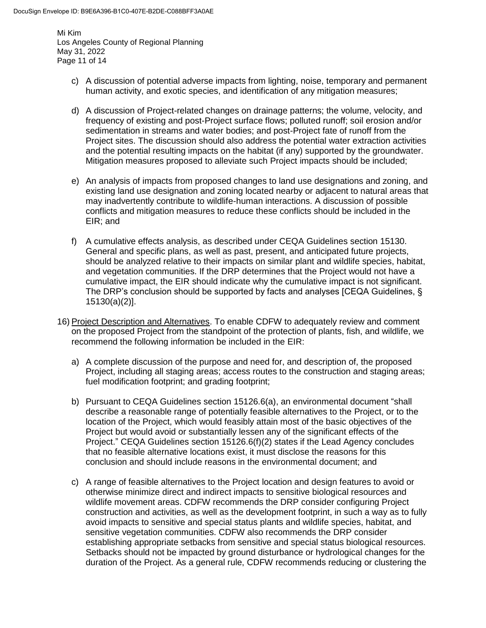Mi Kim Los Angeles County of Regional Planning May 31, 2022 Page 11 of 14

- c) A discussion of potential adverse impacts from lighting, noise, temporary and permanent human activity, and exotic species, and identification of any mitigation measures;
- d) A discussion of Project-related changes on drainage patterns; the volume, velocity, and frequency of existing and post-Project surface flows; polluted runoff; soil erosion and/or sedimentation in streams and water bodies; and post-Project fate of runoff from the Project sites. The discussion should also address the potential water extraction activities and the potential resulting impacts on the habitat (if any) supported by the groundwater. Mitigation measures proposed to alleviate such Project impacts should be included;
- e) An analysis of impacts from proposed changes to land use designations and zoning, and existing land use designation and zoning located nearby or adjacent to natural areas that may inadvertently contribute to wildlife-human interactions. A discussion of possible conflicts and mitigation measures to reduce these conflicts should be included in the EIR; and
- f) A cumulative effects analysis, as described under CEQA Guidelines section 15130. General and specific plans, as well as past, present, and anticipated future projects, should be analyzed relative to their impacts on similar plant and wildlife species, habitat, and vegetation communities. If the DRP determines that the Project would not have a cumulative impact, the EIR should indicate why the cumulative impact is not significant. The DRP's conclusion should be supported by facts and analyses [CEQA Guidelines, § 15130(a)(2)].
- 16) Project Description and Alternatives. To enable CDFW to adequately review and comment on the proposed Project from the standpoint of the protection of plants, fish, and wildlife, we recommend the following information be included in the EIR:
	- a) A complete discussion of the purpose and need for, and description of, the proposed Project, including all staging areas; access routes to the construction and staging areas; fuel modification footprint; and grading footprint;
	- b) Pursuant to CEQA Guidelines section 15126.6(a), an environmental document "shall describe a reasonable range of potentially feasible alternatives to the Project, or to the location of the Project, which would feasibly attain most of the basic objectives of the Project but would avoid or substantially lessen any of the significant effects of the Project." CEQA Guidelines section 15126.6(f)(2) states if the Lead Agency concludes that no feasible alternative locations exist, it must disclose the reasons for this conclusion and should include reasons in the environmental document; and
	- c) A range of feasible alternatives to the Project location and design features to avoid or otherwise minimize direct and indirect impacts to sensitive biological resources and wildlife movement areas. CDFW recommends the DRP consider configuring Project construction and activities, as well as the development footprint, in such a way as to fully avoid impacts to sensitive and special status plants and wildlife species, habitat, and sensitive vegetation communities. CDFW also recommends the DRP consider establishing appropriate setbacks from sensitive and special status biological resources. Setbacks should not be impacted by ground disturbance or hydrological changes for the duration of the Project. As a general rule, CDFW recommends reducing or clustering the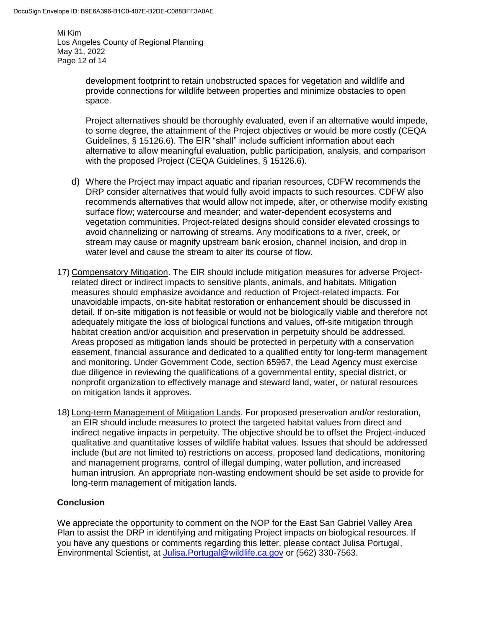Mi Kim Los Angeles County of Regional Planning May 31, 2022 Page 12 of 14

> development footprint to retain unobstructed spaces for vegetation and wildlife and provide connections for wildlife between properties and minimize obstacles to open space.

Project alternatives should be thoroughly evaluated, even if an alternative would impede, to some degree, the attainment of the Project objectives or would be more costly (CEQA Guidelines, § 15126.6). The EIR "shall" include sufficient information about each alternative to allow meaningful evaluation, public participation, analysis, and comparison with the proposed Project (CEQA Guidelines, § 15126.6).

- d) Where the Project may impact aquatic and riparian resources, CDFW recommends the DRP consider alternatives that would fully avoid impacts to such resources. CDFW also recommends alternatives that would allow not impede, alter, or otherwise modify existing surface flow; watercourse and meander; and water-dependent ecosystems and vegetation communities. Project-related designs should consider elevated crossings to avoid channelizing or narrowing of streams. Any modifications to a river, creek, or stream may cause or magnify upstream bank erosion, channel incision, and drop in water level and cause the stream to alter its course of flow.
- 17) Compensatory Mitigation. The EIR should include mitigation measures for adverse Projectrelated direct or indirect impacts to sensitive plants, animals, and habitats. Mitigation measures should emphasize avoidance and reduction of Project-related impacts. For unavoidable impacts, on-site habitat restoration or enhancement should be discussed in detail. If on-site mitigation is not feasible or would not be biologically viable and therefore not adequately mitigate the loss of biological functions and values, off-site mitigation through habitat creation and/or acquisition and preservation in perpetuity should be addressed. Areas proposed as mitigation lands should be protected in perpetuity with a conservation easement, financial assurance and dedicated to a qualified entity for long-term management and monitoring. Under Government Code, section 65967, the Lead Agency must exercise due diligence in reviewing the qualifications of a governmental entity, special district, or nonprofit organization to effectively manage and steward land, water, or natural resources on mitigation lands it approves.
- 18) Long-term Management of Mitigation Lands. For proposed preservation and/or restoration, an EIR should include measures to protect the targeted habitat values from direct and indirect negative impacts in perpetuity. The objective should be to offset the Project-induced qualitative and quantitative losses of wildlife habitat values. Issues that should be addressed include (but are not limited to) restrictions on access, proposed land dedications, monitoring and management programs, control of illegal dumping, water pollution, and increased human intrusion. An appropriate non-wasting endowment should be set aside to provide for long-term management of mitigation lands.

# **Conclusion**

We appreciate the opportunity to comment on the NOP for the East San Gabriel Valley Area Plan to assist the DRP in identifying and mitigating Project impacts on biological resources. If you have any questions or comments regarding this letter, please contact Julisa Portugal, Environmental Scientist, at [Julisa.Portugal@wildlife.ca.gov](mailto:Julisa.Portugal@wildlife.ca.gov) or (562) 330-7563.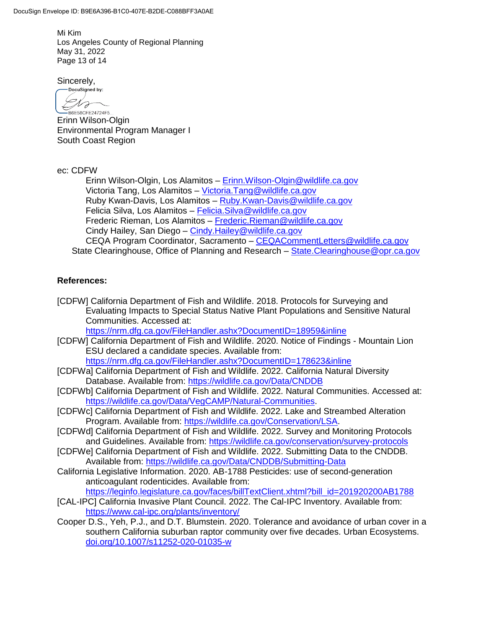Mi Kim Los Angeles County of Regional Planning May 31, 2022 Page 13 of 14

Sincerely,

DocuSigned by: Dra -<br>B6E58CFE24724F5...

Erinn Wilson-Olgin Environmental Program Manager I South Coast Region

ec: CDFW

Erinn Wilson-Olgin, Los Alamitos – [Erinn.Wilson-Olgin@wildlife.ca.gov](mailto:Erinn.Wilson-Olgin@wildlife.ca.gov) Victoria Tang, Los Alamitos – [Victoria.Tang@wildlife.ca.gov](mailto:Victoria.Tang@wildlife.ca.gov) Ruby Kwan-Davis, Los Alamitos – [Ruby.Kwan-Davis@wildlife.ca.gov](mailto:Ruby.Kwan-Davis@wildlife.ca.gov) Felicia Silva, Los Alamitos – [Felicia.Silva@wildlife.ca.gov](mailto:Felicia.Silva@wildlife.ca.gov) Frederic Rieman, Los Alamitos – [Frederic.Rieman@wildlife.ca.gov](mailto:Frederic.Rieman@wildlife.ca.gov) Cindy Hailey, San Diego - Cindy. Hailey@wildlife.ca.gov CEQA Program Coordinator, Sacramento – [CEQACommentLetters@wildlife.ca.gov](mailto:CEQACommentLetters@wildlife.ca.gov)  State Clearinghouse, Office of Planning and Research – [State.Clearinghouse@opr.ca.gov](mailto:State.Clearinghouse@opr.ca.gov)

## **References:**

[CDFW] California Department of Fish and Wildlife. 2018. Protocols for Surveying and Evaluating Impacts to Special Status Native Plant Populations and Sensitive Natural Communities. Accessed at:

<https://nrm.dfg.ca.gov/FileHandler.ashx?DocumentID=18959&inline>

- [CDFW] California Department of Fish and Wildlife. 2020. Notice of Findings Mountain Lion ESU declared a candidate species. Available from: <https://nrm.dfg.ca.gov/FileHandler.ashx?DocumentID=178623&inline>
- [CDFWa] California Department of Fish and Wildlife. 2022. California Natural Diversity Database. Available from:<https://wildlife.ca.gov/Data/CNDDB>
- [CDFWb] California Department of Fish and Wildlife. 2022. Natural Communities. Accessed at: [https://wildlife.ca.gov/Data/VegCAMP/Natural-Communities.](https://wildlife.ca.gov/Data/VegCAMP/Natural-Communities)
- [CDFWc] California Department of Fish and Wildlife. 2022. Lake and Streambed Alteration Program. Available from: [https://wildlife.ca.gov/Conservation/LSA.](https://wildlife.ca.gov/Conservation/LSA)
- [CDFWd] California Department of Fish and Wildlife. 2022. Survey and Monitoring Protocols and Guidelines. Available from:<https://wildlife.ca.gov/conservation/survey-protocols>
- [CDFWe] California Department of Fish and Wildlife. 2022. Submitting Data to the CNDDB. Available from:<https://wildlife.ca.gov/Data/CNDDB/Submitting-Data>
- California Legislative Information. 2020. AB-1788 Pesticides: use of second-generation anticoagulant rodenticides. Available from:

[https://leginfo.legislature.ca.gov/faces/billTextClient.xhtml?bill\\_id=201920200AB1788](https://leginfo.legislature.ca.gov/faces/billTextClient.xhtml?bill_id=201920200AB1788)

- [CAL-IPC] California Invasive Plant Council. 2022. The Cal-IPC Inventory. Available from: <https://www.cal-ipc.org/plants/inventory/>
- Cooper D.S., Yeh, P.J., and D.T. Blumstein. 2020. Tolerance and avoidance of urban cover in a southern California suburban raptor community over five decades. Urban Ecosystems. <doi.org/10.1007/s11252-020-01035-w>